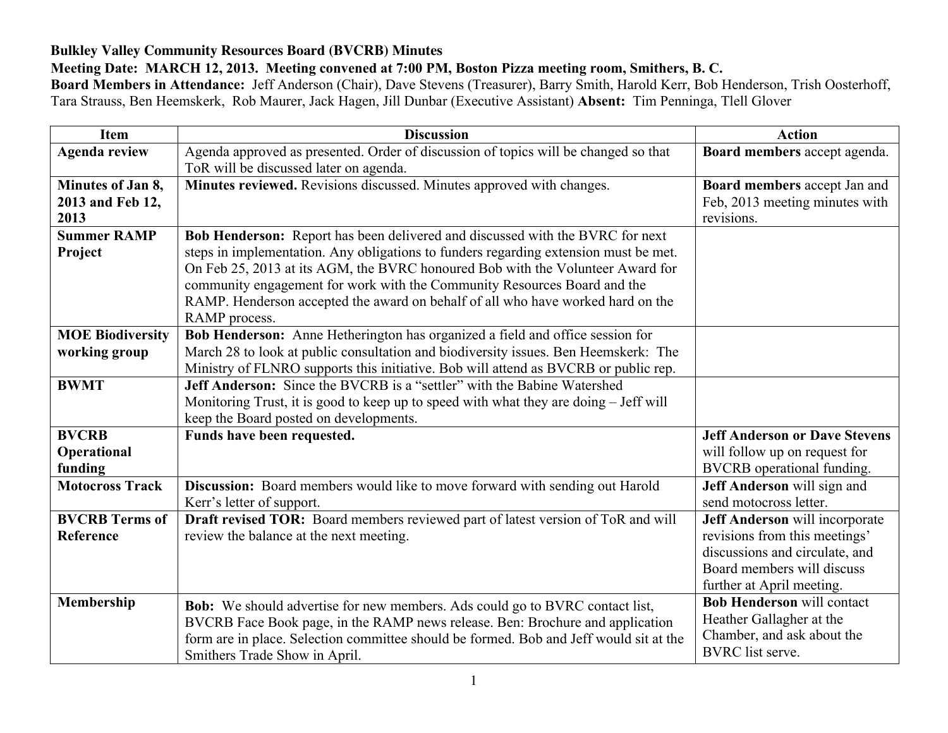## **Bulkley Valley Community Resources Board (BVCRB) Minutes**

## **Meeting Date: MARCH 12, 2013. Meeting convened at 7:00 PM, Boston Pizza meeting room, Smithers, B. C.**

**Board Members in Attendance:** Jeff Anderson (Chair), Dave Stevens (Treasurer), Barry Smith, Harold Kerr, Bob Henderson, Trish Oosterhoff, Tara Strauss, Ben Heemskerk, Rob Maurer, Jack Hagen, Jill Dunbar (Executive Assistant) **Absent:** Tim Penninga, Tlell Glover

| <b>Item</b>             | <b>Discussion</b>                                                                      | <b>Action</b>                        |
|-------------------------|----------------------------------------------------------------------------------------|--------------------------------------|
| <b>Agenda review</b>    | Agenda approved as presented. Order of discussion of topics will be changed so that    | Board members accept agenda.         |
|                         | ToR will be discussed later on agenda.                                                 |                                      |
| Minutes of Jan 8,       | Minutes reviewed. Revisions discussed. Minutes approved with changes.                  | Board members accept Jan and         |
| 2013 and Feb 12,        |                                                                                        | Feb, 2013 meeting minutes with       |
| 2013                    |                                                                                        | revisions.                           |
| <b>Summer RAMP</b>      | Bob Henderson: Report has been delivered and discussed with the BVRC for next          |                                      |
| Project                 | steps in implementation. Any obligations to funders regarding extension must be met.   |                                      |
|                         | On Feb 25, 2013 at its AGM, the BVRC honoured Bob with the Volunteer Award for         |                                      |
|                         | community engagement for work with the Community Resources Board and the               |                                      |
|                         | RAMP. Henderson accepted the award on behalf of all who have worked hard on the        |                                      |
|                         | RAMP process.                                                                          |                                      |
| <b>MOE Biodiversity</b> | Bob Henderson: Anne Hetherington has organized a field and office session for          |                                      |
| working group           | March 28 to look at public consultation and biodiversity issues. Ben Heemskerk: The    |                                      |
|                         | Ministry of FLNRO supports this initiative. Bob will attend as BVCRB or public rep.    |                                      |
| <b>BWMT</b>             | <b>Jeff Anderson:</b> Since the BVCRB is a "settler" with the Babine Watershed         |                                      |
|                         | Monitoring Trust, it is good to keep up to speed with what they are doing – Jeff will  |                                      |
|                         | keep the Board posted on developments.                                                 |                                      |
| <b>BVCRB</b>            | Funds have been requested.                                                             | <b>Jeff Anderson or Dave Stevens</b> |
| Operational             |                                                                                        | will follow up on request for        |
| funding                 |                                                                                        | BVCRB operational funding.           |
| <b>Motocross Track</b>  | Discussion: Board members would like to move forward with sending out Harold           | Jeff Anderson will sign and          |
|                         | Kerr's letter of support.                                                              | send motocross letter.               |
| <b>BVCRB</b> Terms of   | Draft revised TOR: Board members reviewed part of latest version of ToR and will       | Jeff Anderson will incorporate       |
| Reference               | review the balance at the next meeting.                                                | revisions from this meetings'        |
|                         |                                                                                        | discussions and circulate, and       |
|                         |                                                                                        | Board members will discuss           |
|                         |                                                                                        | further at April meeting.            |
| Membership              | <b>Bob:</b> We should advertise for new members. Ads could go to BVRC contact list,    | <b>Bob Henderson will contact</b>    |
|                         | BVCRB Face Book page, in the RAMP news release. Ben: Brochure and application          | Heather Gallagher at the             |
|                         | form are in place. Selection committee should be formed. Bob and Jeff would sit at the | Chamber, and ask about the           |
|                         | Smithers Trade Show in April.                                                          | <b>BVRC</b> list serve.              |